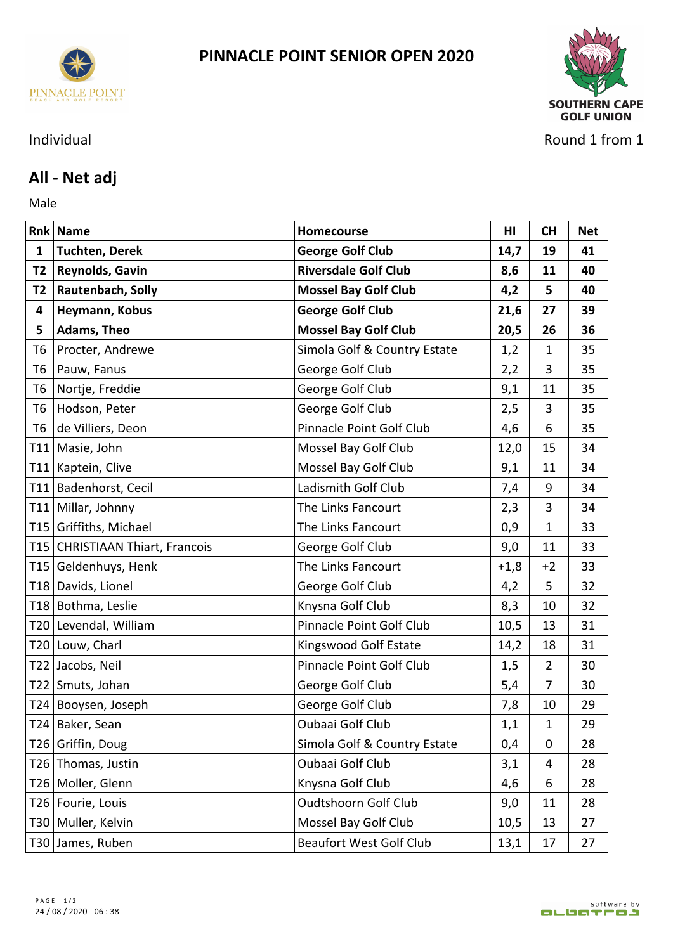



Individual Round 1 from 1

## **All - Net adj**

Male **Male** 

|              | <b>Rnk Name</b>                 | <b>Homecourse</b>              | HI     | <b>CH</b>      | <b>Net</b> |
|--------------|---------------------------------|--------------------------------|--------|----------------|------------|
| $\mathbf{1}$ | <b>Tuchten, Derek</b>           | <b>George Golf Club</b>        | 14,7   | 19             | 41         |
| <b>T2</b>    | Reynolds, Gavin                 | <b>Riversdale Golf Club</b>    | 8,6    | 11             | 40         |
| T2           | Rautenbach, Solly               | <b>Mossel Bay Golf Club</b>    | 4,2    | 5              | 40         |
| 4            | Heymann, Kobus                  | <b>George Golf Club</b>        | 21,6   | 27             | 39         |
| 5            | Adams, Theo                     | <b>Mossel Bay Golf Club</b>    | 20,5   | 26             | 36         |
| T6           | Procter, Andrewe                | Simola Golf & Country Estate   | 1,2    | 1              | 35         |
| T6           | Pauw, Fanus                     | George Golf Club               | 2,2    | 3              | 35         |
| T6           | Nortje, Freddie                 | George Golf Club               | 9,1    | 11             | 35         |
| T6           | Hodson, Peter                   | George Golf Club               | 2,5    | 3              | 35         |
| T6           | de Villiers, Deon               | Pinnacle Point Golf Club       | 4,6    | 6              | 35         |
|              | T11 Masie, John                 | Mossel Bay Golf Club           | 12,0   | 15             | 34         |
|              | T11 Kaptein, Clive              | Mossel Bay Golf Club           | 9,1    | 11             | 34         |
|              | T11 Badenhorst, Cecil           | Ladismith Golf Club            | 7,4    | 9              | 34         |
| T11          | Millar, Johnny                  | The Links Fancourt             | 2,3    | 3              | 34         |
|              | T15 Griffiths, Michael          | The Links Fancourt             | 0,9    | $\mathbf{1}$   | 33         |
|              | T15 CHRISTIAAN Thiart, Francois | George Golf Club               | 9,0    | 11             | 33         |
|              | T15 Geldenhuys, Henk            | The Links Fancourt             | $+1,8$ | $+2$           | 33         |
|              | T18 Davids, Lionel              | George Golf Club               | 4,2    | 5              | 32         |
|              | T18 Bothma, Leslie              | Knysna Golf Club               | 8,3    | 10             | 32         |
|              | T20 Levendal, William           | Pinnacle Point Golf Club       | 10,5   | 13             | 31         |
|              | T20 Louw, Charl                 | Kingswood Golf Estate          | 14,2   | 18             | 31         |
|              | T22 Jacobs, Neil                | Pinnacle Point Golf Club       | 1,5    | $\overline{2}$ | 30         |
|              | T22 Smuts, Johan                | George Golf Club               | 5,4    | 7              | 30         |
|              | T24 Booysen, Joseph             | George Golf Club               | 7,8    | 10             | 29         |
|              | $T24$ Baker, Sean               | Oubaai Golf Club               | 1,1    | 1              | 29         |
|              | T26 Griffin, Doug               | Simola Golf & Country Estate   | 0,4    | 0              | 28         |
|              | T26 Thomas, Justin              | Oubaai Golf Club               | 3,1    | 4              | 28         |
|              | T26   Moller, Glenn             | Knysna Golf Club               | 4,6    | 6              | 28         |
|              | T26 Fourie, Louis               | Oudtshoorn Golf Club           | 9,0    | 11             | 28         |
|              | T30   Muller, Kelvin            | Mossel Bay Golf Club           | 10,5   | 13             | 27         |
|              | T30 James, Ruben                | <b>Beaufort West Golf Club</b> | 13,1   | 17             | 27         |